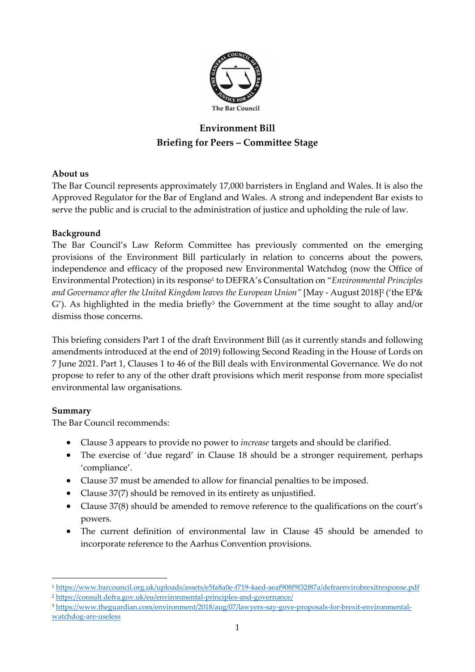

# **Environment Bill Briefing for Peers – Committee Stage**

## **About us**

The Bar Council represents approximately 17,000 barristers in England and Wales. It is also the Approved Regulator for the Bar of England and Wales. A strong and independent Bar exists to serve the public and is crucial to the administration of justice and upholding the rule of law.

## **Background**

The Bar Council's Law Reform Committee has previously commented on the emerging provisions of the Environment Bill particularly in relation to concerns about the powers, independence and efficacy of the proposed new Environmental Watchdog (now the Office of Environmental Protection) in its response<sup>1</sup> to DEFRA's Consultation on "*Environmental Principles and Governance after the United Kingdom leaves the European Union"* [May - August 2018]<sup>2</sup> ('the EP&  $G'$ ). As highlighted in the media briefly<sup>3</sup> the Government at the time sought to allay and/or dismiss those concerns.

This briefing considers Part 1 of the draft Environment Bill (as it currently stands and following amendments introduced at the end of 2019) following Second Reading in the House of Lords on 7 June 2021. Part 1, Clauses 1 to 46 of the Bill deals with Environmental Governance. We do not propose to refer to any of the other draft provisions which merit response from more specialist environmental law organisations.

#### **Summary**

The Bar Council recommends:

- Clause 3 appears to provide no power to *increase* targets and should be clarified.
- The exercise of 'due regard' in Clause 18 should be a stronger requirement, perhaps 'compliance'.
- Clause 37 must be amended to allow for financial penalties to be imposed.
- Clause 37(7) should be removed in its entirety as unjustified.
- Clause 37(8) should be amended to remove reference to the qualifications on the court's powers.
- The current definition of environmental law in Clause 45 should be amended to incorporate reference to the Aarhus Convention provisions.

<sup>1</sup> <https://www.barcouncil.org.uk/uploads/assets/e5fa8a0e-f719-4aed-aeaf908f9f32f87a/defraenvirobrexitresponse.pdf> <sup>2</sup> <https://consult.defra.gov.uk/eu/environmental-principles-and-governance/>

<sup>3</sup> [https://www.theguardian.com/environment/2018/aug/07/lawyers-say-gove-proposals-for-brexit-environmental](https://www.theguardian.com/environment/2018/aug/07/lawyers-say-gove-proposals-for-brexit-environmental-watchdog-are-useless)[watchdog-are-useless](https://www.theguardian.com/environment/2018/aug/07/lawyers-say-gove-proposals-for-brexit-environmental-watchdog-are-useless)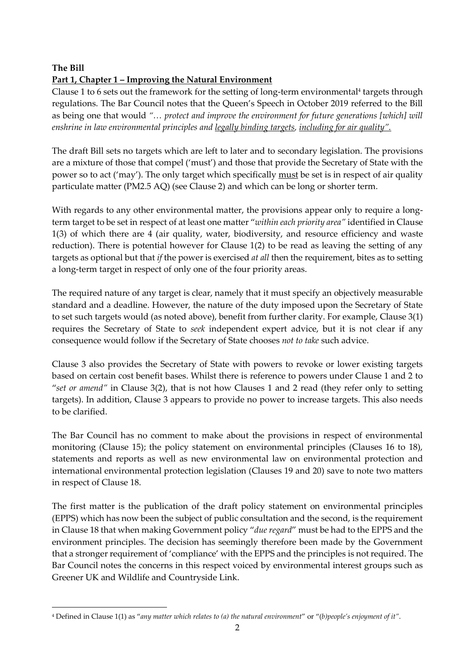## **The Bill Part 1, Chapter 1 – Improving the Natural Environment**

Clause 1 to 6 sets out the framework for the setting of long-term environmental<sup>4</sup> targets through regulations. The Bar Council notes that the Queen's Speech in October 2019 referred to the Bill as being one that would *"… protect and improve the environment for future generations [which] will enshrine in law environmental principles and legally binding targets, including for air quality".*

The draft Bill sets no targets which are left to later and to secondary legislation. The provisions are a mixture of those that compel ('must') and those that provide the Secretary of State with the power so to act ('may'). The only target which specifically must be set is in respect of air quality particulate matter (PM2.5 AQ) (see Clause 2) and which can be long or shorter term.

With regards to any other environmental matter, the provisions appear only to require a longterm target to be set in respect of at least one matter "*within each priority area"* identified in Clause 1(3) of which there are 4 (air quality, water, biodiversity, and resource efficiency and waste reduction). There is potential however for Clause 1(2) to be read as leaving the setting of any targets as optional but that *if* the power is exercised *at all* then the requirement, bites as to setting a long-term target in respect of only one of the four priority areas.

The required nature of any target is clear, namely that it must specify an objectively measurable standard and a deadline. However, the nature of the duty imposed upon the Secretary of State to set such targets would (as noted above), benefit from further clarity. For example, Clause 3(1) requires the Secretary of State to *seek* independent expert advice, but it is not clear if any consequence would follow if the Secretary of State chooses *not to take* such advice.

Clause 3 also provides the Secretary of State with powers to revoke or lower existing targets based on certain cost benefit bases. Whilst there is reference to powers under Clause 1 and 2 to "*set or amend"* in Clause 3(2), that is not how Clauses 1 and 2 read (they refer only to setting targets). In addition, Clause 3 appears to provide no power to increase targets. This also needs to be clarified.

The Bar Council has no comment to make about the provisions in respect of environmental monitoring (Clause 15); the policy statement on environmental principles (Clauses 16 to 18), statements and reports as well as new environmental law on environmental protection and international environmental protection legislation (Clauses 19 and 20) save to note two matters in respect of Clause 18.

The first matter is the publication of the draft policy statement on environmental principles (EPPS) which has now been the subject of public consultation and the second, is the requirement in Clause 18 that when making Government policy "*due regard*" must be had to the EPPS and the environment principles. The decision has seemingly therefore been made by the Government that a stronger requirement of 'compliance' with the EPPS and the principles is not required. The Bar Council notes the concerns in this respect voiced by environmental interest groups such as Greener UK and Wildlife and Countryside Link.

<sup>4</sup> Defined in Clause 1(1) as "*any matter which relates to (a) the natural environment*" or "(*b)people's enjoyment of it"*.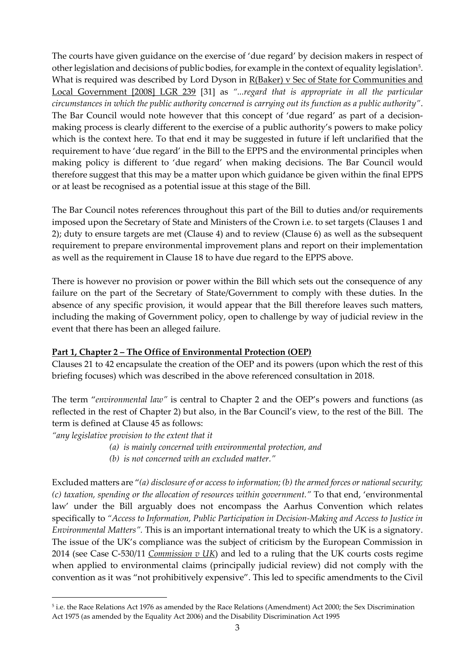The courts have given guidance on the exercise of 'due regard' by decision makers in respect of other legislation and decisions of public bodies, for example in the context of equality legislation<sup>5</sup>. What is required was described by Lord Dyson in R(Baker) v Sec of State for Communities and Local Government [2008] LGR 239 [31] as *"...regard that is appropriate in all the particular circumstances in which the public authority concerned is carrying out its function as a public authority"*. The Bar Council would note however that this concept of 'due regard' as part of a decisionmaking process is clearly different to the exercise of a public authority's powers to make policy which is the context here. To that end it may be suggested in future if left unclarified that the requirement to have 'due regard' in the Bill to the EPPS and the environmental principles when making policy is different to 'due regard' when making decisions. The Bar Council would therefore suggest that this may be a matter upon which guidance be given within the final EPPS or at least be recognised as a potential issue at this stage of the Bill.

The Bar Council notes references throughout this part of the Bill to duties and/or requirements imposed upon the Secretary of State and Ministers of the Crown i.e. to set targets (Clauses 1 and 2); duty to ensure targets are met (Clause 4) and to review (Clause 6) as well as the subsequent requirement to prepare environmental improvement plans and report on their implementation as well as the requirement in Clause 18 to have due regard to the EPPS above.

There is however no provision or power within the Bill which sets out the consequence of any failure on the part of the Secretary of State/Government to comply with these duties. In the absence of any specific provision, it would appear that the Bill therefore leaves such matters, including the making of Government policy, open to challenge by way of judicial review in the event that there has been an alleged failure.

#### **Part 1, Chapter 2 – The Office of Environmental Protection (OEP)**

Clauses 21 to 42 encapsulate the creation of the OEP and its powers (upon which the rest of this briefing focuses) which was described in the above referenced consultation in 2018.

The term "*environmental law"* is central to Chapter 2 and the OEP's powers and functions (as reflected in the rest of Chapter 2) but also, in the Bar Council's view, to the rest of the Bill. The term is defined at Clause 45 as follows:

*"any legislative provision to the extent that it*

- *(a) is mainly concerned with environmental protection, and*
- *(b) is not concerned with an excluded matter."*

Excluded matters are "*(a) disclosure of or access to information; (b) the armed forces or national security; (c) taxation, spending or the allocation of resources within government."* To that end, 'environmental law' under the Bill arguably does not encompass the Aarhus Convention which relates specifically to *"Access to Information, Public Participation in Decision-Making and Access to Justice in Environmental Matters".* This is an important international treaty to which the UK is a signatory. The issue of the UK's compliance was the subject of criticism by the European Commission in 2014 (see Case C-530/11 *Commission v UK*) and led to a ruling that the UK courts costs regime when applied to environmental claims (principally judicial review) did not comply with the convention as it was "not prohibitively expensive". This led to specific amendments to the Civil

<sup>5</sup> i.e. the Race Relations Act 1976 as amended by the Race Relations (Amendment) Act 2000; the Sex Discrimination Act 1975 (as amended by the Equality Act 2006) and the Disability Discrimination Act 1995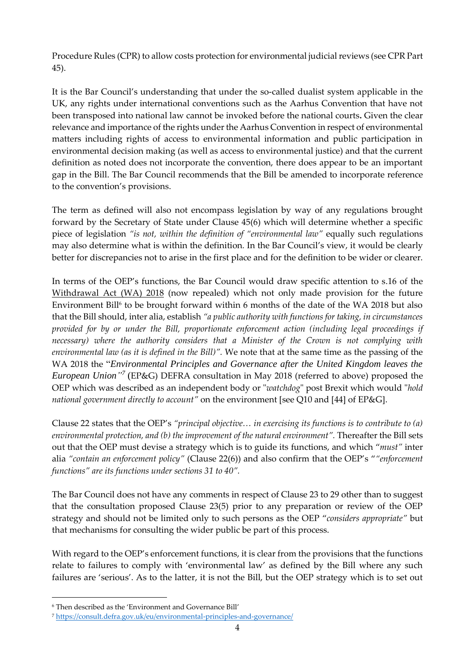Procedure Rules (CPR) to allow costs protection for environmental judicial reviews (see CPR Part 45).

It is the Bar Council's understanding that under the so-called dualist system applicable in the UK, any rights under international conventions such as the Aarhus Convention that have not been transposed into national law cannot be invoked before the national courts**.** Given the clear relevance and importance of the rights under the Aarhus Convention in respect of environmental matters including rights of access to environmental information and public participation in environmental decision making (as well as access to environmental justice) and that the current definition as noted does not incorporate the convention, there does appear to be an important gap in the Bill. The Bar Council recommends that the Bill be amended to incorporate reference to the convention's provisions.

The term as defined will also not encompass legislation by way of any regulations brought forward by the Secretary of State under Clause 45(6) which will determine whether a specific piece of legislation *"is not, within the definition of "environmental law"* equally such regulations may also determine what is within the definition*.* In the Bar Council's view, it would be clearly better for discrepancies not to arise in the first place and for the definition to be wider or clearer.

In terms of the OEP's functions, the Bar Council would draw specific attention to s.16 of the Withdrawal Act (WA) 2018 (now repealed) which not only made provision for the future Environment Bill<sup>6</sup> to be brought forward within 6 months of the date of the WA 2018 but also that the Bill should, inter alia, establish *"a public authority with functions for taking, in circumstances provided for by or under the Bill, proportionate enforcement action (including legal proceedings if necessary) where the authority considers that a Minister of the Crown is not complying with environmental law (as it is defined in the Bill)".* We note that at the same time as the passing of the WA 2018 the "*Environmental Principles and Governance after the United Kingdom leaves the*  European Union<sup>"7</sup> (EP&G) DEFRA consultation in May 2018 (referred to above) proposed the OEP which was described as an independent body or "*watchdog*" post Brexit which would "*hold national government directly to account"* on the environment [see Q10 and [44] of EP&G].

Clause 22 states that the OEP's *"principal objective… in exercising its functions is to contribute to (a)*  environmental protection, and (b) the improvement of the natural environment". Thereafter the Bill sets out that the OEP must devise a strategy which is to guide its functions, and which "*must"* inter alia *"contain an enforcement policy"* (Clause 22(6)) and also confirm that the OEP's "*"enforcement functions" are its functions under sections 31 to 40".*

The Bar Council does not have any comments in respect of Clause 23 to 29 other than to suggest that the consultation proposed Clause 23(5) prior to any preparation or review of the OEP strategy and should not be limited only to such persons as the OEP "*considers appropriate"* but that mechanisms for consulting the wider public be part of this process.

With regard to the OEP's enforcement functions, it is clear from the provisions that the functions relate to failures to comply with 'environmental law' as defined by the Bill where any such failures are 'serious'. As to the latter, it is not the Bill, but the OEP strategy which is to set out

<sup>6</sup> Then described as the 'Environment and Governance Bill'

<sup>7</sup> <https://consult.defra.gov.uk/eu/environmental-principles-and-governance/>